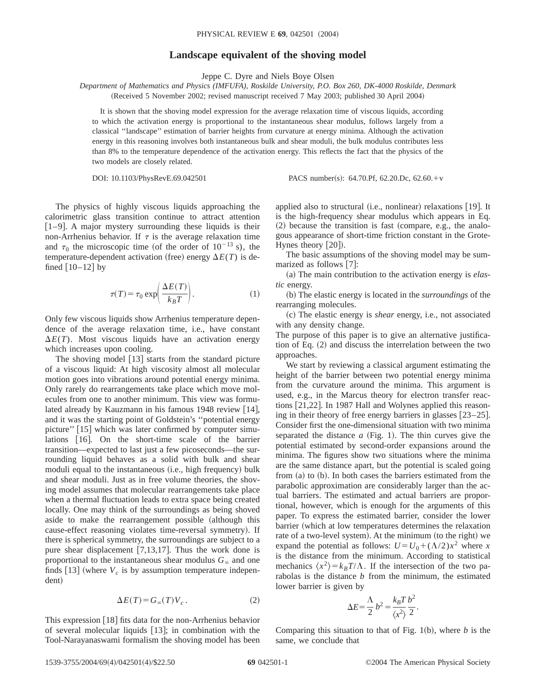## **Landscape equivalent of the shoving model**

Jeppe C. Dyre and Niels Boye Olsen

*Department of Mathematics and Physics (IMFUFA), Roskilde University, P.O. Box 260, DK-4000 Roskilde, Denmark* (Received 5 November 2002; revised manuscript received 7 May 2003; published 30 April 2004)

It is shown that the shoving model expression for the average relaxation time of viscous liquids, according to which the activation energy is proportional to the instantaneous shear modulus, follows largely from a classical ''landscape'' estimation of barrier heights from curvature at energy minima. Although the activation energy in this reasoning involves both instantaneous bulk and shear moduli, the bulk modulus contributes less than 8% to the temperature dependence of the activation energy. This reflects the fact that the physics of the two models are closely related.

DOI: 10.1103/PhysRevE.69.042501 PACS number(s): 64.70.Pf, 62.20.Dc, 62.60.+v

The physics of highly viscous liquids approaching the calorimetric glass transition continue to attract attention  $[1-9]$ . A major mystery surrounding these liquids is their non-Arrhenius behavior. If  $\tau$  is the average relaxation time and  $\tau_0$  the microscopic time (of the order of  $10^{-13}$  s), the temperature-dependent activation (free) energy  $\Delta E(T)$  is defined  $\left[10-12\right]$  by

$$
\tau(T) = \tau_0 \exp\left(\frac{\Delta E(T)}{k_B T}\right). \tag{1}
$$

Only few viscous liquids show Arrhenius temperature dependence of the average relaxation time, i.e., have constant  $\Delta E(T)$ . Most viscous liquids have an activation energy which increases upon cooling.

The shoving model  $[13]$  starts from the standard picture of a viscous liquid: At high viscosity almost all molecular motion goes into vibrations around potential energy minima. Only rarely do rearrangements take place which move molecules from one to another minimum. This view was formulated already by Kauzmann in his famous  $1948$  review  $[14]$ , and it was the starting point of Goldstein's ''potential energy picture" [15] which was later confirmed by computer simulations [16]. On the short-time scale of the barrier transition—expected to last just a few picoseconds—the surrounding liquid behaves as a solid with bulk and shear moduli equal to the instantaneous (i.e., high frequency) bulk and shear moduli. Just as in free volume theories, the shoving model assumes that molecular rearrangements take place when a thermal fluctuation leads to extra space being created locally. One may think of the surroundings as being shoved aside to make the rearrangement possible (although this cause-effect reasoning violates time-reversal symmetry). If there is spherical symmetry, the surroundings are subject to a pure shear displacement  $[7,13,17]$ . Thus the work done is proportional to the instantaneous shear modulus  $G_{\infty}$  and one finds  $\begin{bmatrix} 13 \end{bmatrix}$  (where  $V_c$  is by assumption temperature independent)

$$
\Delta E(T) = G_{\infty}(T) V_c \,. \tag{2}
$$

This expression  $\lceil 18 \rceil$  fits data for the non-Arrhenius behavior of several molecular liquids  $[13]$ ; in combination with the Tool-Narayanaswami formalism the shoving model has been applied also to structural (i.e., nonlinear) relaxations  $[19]$ . It is the high-frequency shear modulus which appears in Eq.  $(2)$  because the transition is fast (compare, e.g., the analogous appearance of short-time friction constant in the Grote-Hynes theory  $[20]$ ).

The basic assumptions of the shoving model may be summarized as follows  $[7]$ :

(a) The main contribution to the activation energy is *elastic* energy.

~b! The elastic energy is located in the *surroundings* of the rearranging molecules.

~c! The elastic energy is *shear* energy, i.e., not associated with any density change.

The purpose of this paper is to give an alternative justification of Eq.  $(2)$  and discuss the interrelation between the two approaches.

We start by reviewing a classical argument estimating the height of the barrier between two potential energy minima from the curvature around the minima. This argument is used, e.g., in the Marcus theory for electron transfer reactions  $[21,22]$ . In 1987 Hall and Wolynes applied this reasoning in their theory of free energy barriers in glasses  $[23-25]$ . Consider first the one-dimensional situation with two minima separated the distance  $a$  (Fig. 1). The thin curves give the potential estimated by second-order expansions around the minima. The figures show two situations where the minima are the same distance apart, but the potential is scaled going from  $(a)$  to  $(b)$ . In both cases the barriers estimated from the parabolic approximation are considerably larger than the actual barriers. The estimated and actual barriers are proportional, however, which is enough for the arguments of this paper. To express the estimated barrier, consider the lower barrier (which at low temperatures determines the relaxation rate of a two-level system). At the minimum (to the right) we expand the potential as follows:  $U = U_0 + (\Lambda/2)x^2$  where *x* is the distance from the minimum. According to statistical mechanics  $\langle x^2 \rangle = k_B T/\Lambda$ . If the intersection of the two parabolas is the distance *b* from the minimum, the estimated lower barrier is given by

$$
\Delta E = \frac{\Lambda}{2} b^2 = \frac{k_B T}{\langle x^2 \rangle} \frac{b^2}{2}.
$$

Comparing this situation to that of Fig.  $1(b)$ , where *b* is the same, we conclude that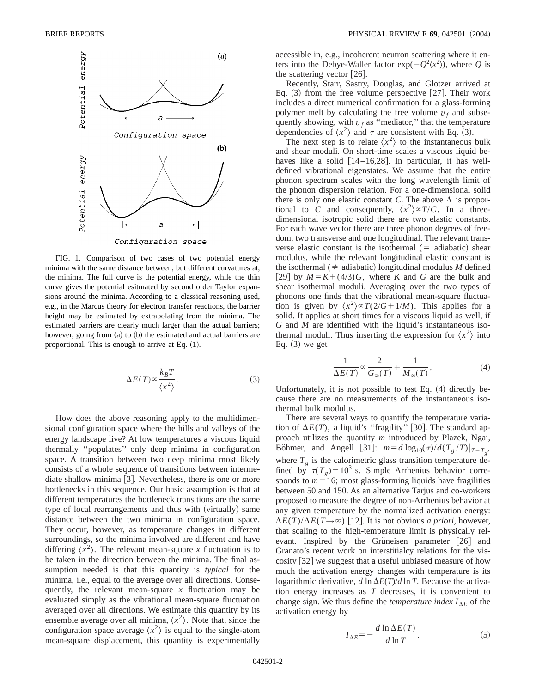

FIG. 1. Comparison of two cases of two potential energy minima with the same distance between, but different curvatures at, the minima. The full curve is the potential energy, while the thin curve gives the potential esitmated by second order Taylor expansions around the minima. According to a classical reasoning used, e.g., in the Marcus theory for electron transfer reactions, the barrier height may be estimated by extrapolating from the minima. The estimated barriers are clearly much larger than the actual barriers; however, going from  $(a)$  to  $(b)$  the estimated and actual barriers are proportional. This is enough to arrive at Eq.  $(1)$ .

$$
\Delta E(T) \propto \frac{k_B T}{\langle x^2 \rangle}.
$$
 (3)

How does the above reasoning apply to the multidimensional configuration space where the hills and valleys of the energy landscape live? At low temperatures a viscous liquid thermally ''populates'' only deep minima in configuration space. A transition between two deep minima most likely consists of a whole sequence of transitions between intermediate shallow minima  $\vert 3 \vert$ . Nevertheless, there is one or more bottlenecks in this sequence. Our basic assumption is that at different temperatures the bottleneck transitions are the same type of local rearrangements and thus with (virtually) same distance between the two minima in configuration space. They occur, however, as temperature changes in different surroundings, so the minima involved are different and have differing  $\langle x^2 \rangle$ . The relevant mean-square *x* fluctuation is to be taken in the direction between the minima. The final assumption needed is that this quantity is *typical* for the minima, i.e., equal to the average over all directions. Consequently, the relevant mean-square *x* fluctuation may be evaluated simply as the vibrational mean-square fluctuation averaged over all directions. We estimate this quantity by its ensemble average over all minima,  $\langle x^2 \rangle$ . Note that, since the configuration space average  $\langle x^2 \rangle$  is equal to the single-atom mean-square displacement, this quantity is experimentally accessible in, e.g., incoherent neutron scattering where it enters into the Debye-Waller factor  $exp(-Q^2\langle x^2 \rangle)$ , where *Q* is the scattering vector  $[26]$ .

Recently, Starr, Sastry, Douglas, and Glotzer arrived at Eq.  $(3)$  from the free volume perspective [27]. Their work includes a direct numerical confirmation for a glass-forming polymer melt by calculating the free volume  $v_f$  and subsequently showing, with  $v_f$  as "mediator," that the temperature dependencies of  $\langle x^2 \rangle$  and  $\tau$  are consistent with Eq. (3).

The next step is to relate  $\langle x^2 \rangle$  to the instantaneous bulk and shear moduli. On short-time scales a viscous liquid behaves like a solid  $[14–16,28]$ . In particular, it has welldefined vibrational eigenstates. We assume that the entire phonon spectrum scales with the long wavelength limit of the phonon dispersion relation. For a one-dimensional solid there is only one elastic constant *C*. The above  $\Lambda$  is proportional to *C* and consequently,  $\langle x^2 \rangle \propto T/C$ . In a threedimensional isotropic solid there are two elastic constants. For each wave vector there are three phonon degrees of freedom, two transverse and one longitudinal. The relevant transverse elastic constant is the isothermal  $(=$  adiabatic) shear modulus, while the relevant longitudinal elastic constant is the isothermal ( $\neq$  adiabatic) longitudinal modulus *M* defined [29] by  $M = K + (4/3)G$ , where *K* and *G* are the bulk and shear isothermal moduli. Averaging over the two types of phonons one finds that the vibrational mean-square fluctuation is given by  $\langle x^2 \rangle \propto T(2/G+1/M)$ . This applies for a solid. It applies at short times for a viscous liquid as well, if *G* and *M* are identified with the liquid's instantaneous isothermal moduli. Thus inserting the expression for  $\langle x^2 \rangle$  into Eq.  $(3)$  we get

$$
\frac{1}{\Delta E(T)} \propto \frac{2}{G_{\infty}(T)} + \frac{1}{M_{\infty}(T)}.
$$
 (4)

Unfortunately, it is not possible to test Eq.  $(4)$  directly because there are no measurements of the instantaneous isothermal bulk modulus.

There are several ways to quantify the temperature variation of  $\Delta E(T)$ , a liquid's "fragility" [30]. The standard approach utilizes the quantity *m* introduced by Plazek, Ngai, Böhmer, and Angell [31]:  $m = d \log_{10}(\tau) / d(T_g / T)|_{T = T_g}$ , where  $T_g$  is the calorimetric glass transition temperature defined by  $\tau(T_g) = 10^3$  s. Simple Arrhenius behavior corresponds to  $m=16$ ; most glass-forming liquids have fragilities between 50 and 150. As an alternative Tarjus and co-workers proposed to measure the degree of non-Arrhenius behavior at any given temperature by the normalized activation energy:  $\Delta E(T)/\Delta E(T\rightarrow\infty)$  [12]. It is not obvious *a priori*, however, that scaling to the high-temperature limit is physically relevant. Inspired by the Grüneisen parameter [26] and Granato's recent work on interstitialcy relations for the viscosity  $\lceil 32 \rceil$  we suggest that a useful unbiased measure of how much the activation energy changes with temperature is its logarithmic derivative,  $d \ln \Delta E(T)/d \ln T$ . Because the activation energy increases as *T* decreases, it is convenient to change sign. We thus define the *temperature index*  $I_{\Delta E}$  of the activation energy by

$$
I_{\Delta E} = -\frac{d \ln \Delta E(T)}{d \ln T}.
$$
 (5)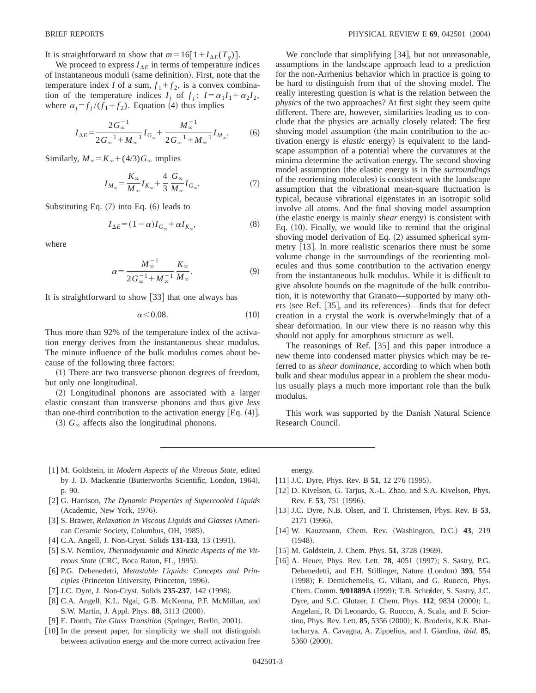It is straightforward to show that  $m=16[1+I_{\Delta E}(T_g)].$ 

We proceed to express  $I_{\Delta E}$  in terms of temperature indices of instantaneous moduli (same definition). First, note that the temperature index *I* of a sum,  $f_1 + f_2$ , is a convex combination of the temperature indices  $I_j$  of  $f_j$ :  $I = \alpha_1 I_1 + \alpha_2 I_2$ , where  $\alpha_j = f_j / (f_1 + f_2)$ . Equation (4) thus implies

$$
I_{\Delta E} = \frac{2G_{\infty}^{-1}}{2G_{\infty}^{-1} + M_{\infty}^{-1}} I_{G_{\infty}} + \frac{M_{\infty}^{-1}}{2G_{\infty}^{-1} + M_{\infty}^{-1}} I_{M_{\infty}}.
$$
 (6)

Similarly,  $M_{\infty} = K_{\infty} + (4/3)G_{\infty}$  implies

$$
I_{M_{\infty}} = \frac{K_{\infty}}{M_{\infty}} I_{K_{\infty}} + \frac{4}{3} \frac{G_{\infty}}{M_{\infty}} I_{G_{\infty}}.
$$
 (7)

Substituting Eq.  $(7)$  into Eq.  $(6)$  leads to

$$
I_{\Delta E} = (1 - \alpha)I_{G_{\infty}} + \alpha I_{K_{\infty}},\tag{8}
$$

where

$$
\alpha = \frac{M_{\infty}^{-1}}{2G_{\infty}^{-1} + M_{\infty}^{-1}} \frac{K_{\infty}}{M_{\infty}}.
$$
\n(9)

It is straightforward to show  $\left[33\right]$  that one always has

$$
\alpha \le 0.08. \tag{10}
$$

Thus more than 92% of the temperature index of the activation energy derives from the instantaneous shear modulus. The minute influence of the bulk modulus comes about because of the following three factors:

 $(1)$  There are two transverse phonon degrees of freedom, but only one longitudinal.

 $(2)$  Longitudinal phonons are associated with a larger elastic constant than transverse phonons and thus give *less* than one-third contribution to the activation energy  $[Eq. (4)].$ 

 $(3)$   $G_{\infty}$  affects also the longitudinal phonons.

We conclude that simplifying  $|34|$ , but not unreasonable, assumptions in the landscape approach lead to a prediction for the non-Arrhenius behavior which in practice is going to be hard to distinguish from that of the shoving model. The really interesting question is what is the relation between the *physics* of the two approaches? At first sight they seem quite different. There are, however, similarities leading us to conclude that the physics are actually closely related: The first shoving model assumption (the main contribution to the activation energy is *elastic* energy) is equivalent to the landscape assumption of a potential where the curvatures at the minima determine the activation energy. The second shoving model assumption (the elastic energy is in the *surroundings* of the reorienting molecules) is consistent with the landscape assumption that the vibrational mean-square fluctuation is typical, because vibrational eigenstates in an isotropic solid involve all atoms. And the final shoving model assumption (the elastic energy is mainly *shear* energy) is consistent with Eq.  $(10)$ . Finally, we would like to remind that the original shoving model derivation of Eq.  $(2)$  assumed spherical symmetry  $[13]$ . In more realistic scenarios there must be some volume change in the surroundings of the reorienting molecules and thus some contribution to the activation energy from the instantaneous bulk modulus. While it is difficult to give absolute bounds on the magnitude of the bulk contribution, it is noteworthy that Granato—supported by many others (see Ref.  $[35]$ , and its references)—finds that for defect creation in a crystal the work is overwhelmingly that of a shear deformation. In our view there is no reason why this should not apply for amorphous structure as well.

The reasonings of Ref.  $[35]$  and this paper introduce a new theme into condensed matter physics which may be referred to as *shear dominance*, according to which when both bulk and shear modulus appear in a problem the shear modulus usually plays a much more important role than the bulk modulus.

This work was supported by the Danish Natural Science Research Council.

- [1] M. Goldstein, in *Modern Aspects of the Vitreous State*, edited by J. D. Mackenzie (Butterworths Scientific, London, 1964), p. 90.
- [2] G. Harrison, *The Dynamic Properties of Supercooled Liquids* (Academic, New York, 1976).
- [3] S. Brawer, *Relaxation in Viscous Liquids and Glasses* (American Ceramic Society, Columbus, OH, 1985).
- [4] C.A. Angell, J. Non-Cryst. Solids **131-133**, 13 (1991).
- [5] S.V. Nemilov, *Thermodynamic and Kinetic Aspects of the Vitreous State* (CRC, Boca Raton, FL, 1995).
- [6] P.G. Debenedetti, *Metastable Liquids: Concepts and Principles* (Princeton University, Princeton, 1996).
- [7] J.C. Dyre, J. Non-Cryst. Solids 235-237, 142 (1998).
- [8] C.A. Angell, K.L. Ngai, G.B. McKenna, P.F. McMillan, and S.W. Martin, J. Appl. Phys. 88, 3113 (2000).
- [9] E. Donth, *The Glass Transition* (Springer, Berlin, 2001).
- [10] In the present paper, for simplicity we shall not distinguish between activation energy and the more correct activation free

energy.

- $[11]$  J.C. Dyre, Phys. Rev. B 51, 12 276 (1995).
- [12] D. Kivelson, G. Tarjus, X.-L. Zhao, and S.A. Kivelson, Phys. Rev. E 53, 751 (1996).
- [13] J.C. Dyre, N.B. Olsen, and T. Christensen, Phys. Rev. B 53, 2171 (1996).
- [14] W. Kauzmann, Chem. Rev. (Washington, D.C.) 43, 219  $(1948).$
- [15] M. Goldstein, J. Chem. Phys. **51**, 3728 (1969).
- [16] A. Heuer, Phys. Rev. Lett. **78**, 4051 (1997); S. Sastry, P.G. Debenedetti, and F.H. Stillinger, Nature (London) 393, 554 (1998); F. Demichemelis, G. Viliani, and G. Ruocco, Phys. Chem. Comm. 9/01889A (1999); T.B. Schrøder, S. Sastry, J.C. Dyre, and S.C. Glotzer, J. Chem. Phys. 112, 9834 (2000); L. Angelani, R. Di Leonardo, G. Ruocco, A. Scala, and F. Sciortino, Phys. Rev. Lett. 85, 5356 (2000); K. Broderix, K.K. Bhattacharya, A. Cavagna, A. Zippelius, and I. Giardina, *ibid.* **85**, 5360 (2000).